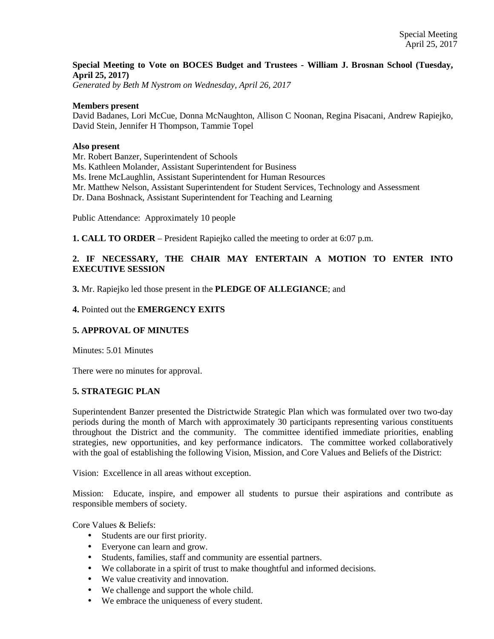# **Special Meeting to Vote on BOCES Budget and Trustees - William J. Brosnan School (Tuesday, April 25, 2017)**

*Generated by Beth M Nystrom on Wednesday, April 26, 2017* 

#### **Members present**

David Badanes, Lori McCue, Donna McNaughton, Allison C Noonan, Regina Pisacani, Andrew Rapiejko, David Stein, Jennifer H Thompson, Tammie Topel

#### **Also present**

Mr. Robert Banzer, Superintendent of Schools

Ms. Kathleen Molander, Assistant Superintendent for Business

Ms. Irene McLaughlin, Assistant Superintendent for Human Resources

Mr. Matthew Nelson, Assistant Superintendent for Student Services, Technology and Assessment

Dr. Dana Boshnack, Assistant Superintendent for Teaching and Learning

Public Attendance: Approximately 10 people

**1. CALL TO ORDER** – President Rapiejko called the meeting to order at 6:07 p.m.

# **2. IF NECESSARY, THE CHAIR MAY ENTERTAIN A MOTION TO ENTER INTO EXECUTIVE SESSION**

**3.** Mr. Rapiejko led those present in the **PLEDGE OF ALLEGIANCE**; and

#### **4.** Pointed out the **EMERGENCY EXITS**

### **5. APPROVAL OF MINUTES**

Minutes: 5.01 Minutes

There were no minutes for approval.

### **5. STRATEGIC PLAN**

Superintendent Banzer presented the Districtwide Strategic Plan which was formulated over two two-day periods during the month of March with approximately 30 participants representing various constituents throughout the District and the community. The committee identified immediate priorities, enabling strategies, new opportunities, and key performance indicators. The committee worked collaboratively with the goal of establishing the following Vision, Mission, and Core Values and Beliefs of the District:

Vision: Excellence in all areas without exception.

Mission: Educate, inspire, and empower all students to pursue their aspirations and contribute as responsible members of society.

Core Values & Beliefs:

- Students are our first priority.
- Everyone can learn and grow.
- Students, families, staff and community are essential partners.
- We collaborate in a spirit of trust to make thoughtful and informed decisions.
- We value creativity and innovation.
- We challenge and support the whole child.
- We embrace the uniqueness of every student.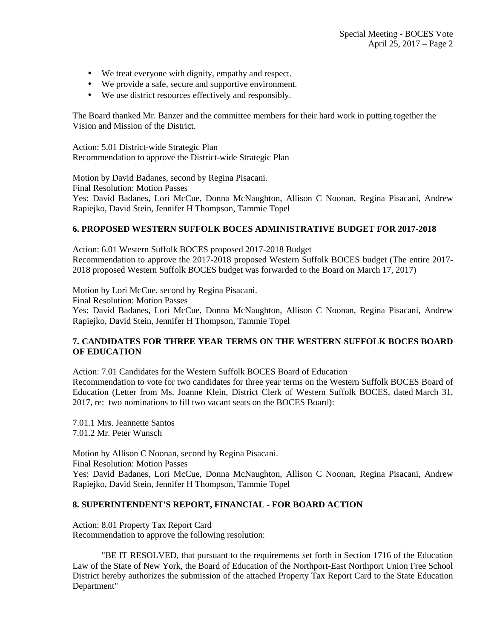- We treat everyone with dignity, empathy and respect.
- We provide a safe, secure and supportive environment.
- We use district resources effectively and responsibly.

The Board thanked Mr. Banzer and the committee members for their hard work in putting together the Vision and Mission of the District.

Action: 5.01 District-wide Strategic Plan Recommendation to approve the District-wide Strategic Plan

Motion by David Badanes, second by Regina Pisacani. Final Resolution: Motion Passes Yes: David Badanes, Lori McCue, Donna McNaughton, Allison C Noonan, Regina Pisacani, Andrew Rapiejko, David Stein, Jennifer H Thompson, Tammie Topel

## **6. PROPOSED WESTERN SUFFOLK BOCES ADMINISTRATIVE BUDGET FOR 2017-2018**

Action: 6.01 Western Suffolk BOCES proposed 2017-2018 Budget Recommendation to approve the 2017-2018 proposed Western Suffolk BOCES budget (The entire 2017- 2018 proposed Western Suffolk BOCES budget was forwarded to the Board on March 17, 2017)

Motion by Lori McCue, second by Regina Pisacani. Final Resolution: Motion Passes Yes: David Badanes, Lori McCue, Donna McNaughton, Allison C Noonan, Regina Pisacani, Andrew Rapiejko, David Stein, Jennifer H Thompson, Tammie Topel

# **7. CANDIDATES FOR THREE YEAR TERMS ON THE WESTERN SUFFOLK BOCES BOARD OF EDUCATION**

Action: 7.01 Candidates for the Western Suffolk BOCES Board of Education Recommendation to vote for two candidates for three year terms on the Western Suffolk BOCES Board of Education (Letter from Ms. Joanne Klein, District Clerk of Western Suffolk BOCES, dated March 31, 2017, re: two nominations to fill two vacant seats on the BOCES Board):

7.01.1 Mrs. Jeannette Santos 7.01.2 Mr. Peter Wunsch

Motion by Allison C Noonan, second by Regina Pisacani. Final Resolution: Motion Passes Yes: David Badanes, Lori McCue, Donna McNaughton, Allison C Noonan, Regina Pisacani, Andrew Rapiejko, David Stein, Jennifer H Thompson, Tammie Topel

### **8. SUPERINTENDENT'S REPORT, FINANCIAL - FOR BOARD ACTION**

Action: 8.01 Property Tax Report Card Recommendation to approve the following resolution:

"BE IT RESOLVED, that pursuant to the requirements set forth in Section 1716 of the Education Law of the State of New York, the Board of Education of the Northport-East Northport Union Free School District hereby authorizes the submission of the attached Property Tax Report Card to the State Education Department"